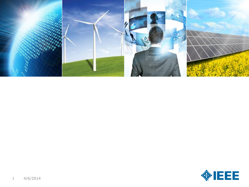

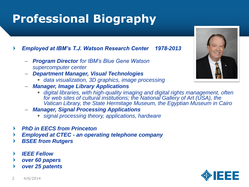#### 2 4/6/2014

### **Professional Biography**

#### *Employed at IBM's T.J. Watson Research Center 1978-2013*

- *Program Director for IBM's Blue Gene Watson supercomputer center*
- *Department Manager, Visual Technologies*
	- *data visualization, 3D graphics, image processing*
- *Manager, Image Library Applications* 
	- **digital libraries, with high-quality imaging and digital rights management, often** for web sites of cultural institutions; the National Gallery of Art (USA), the *Vatican Library, the State Hermitage Museum, the Egyptian Museum in Cairo*
- *Manager, Signal Processing Applications*
	- *signal processing theory, applications, hardware*
- *PhD in EECS from Princeton*
- *Employed at CTEC - an operating telephone company*
- *BSEE from Rutgers*
- *IEEE Fellow*
- *over 60 papers*
- *over 25 patents*



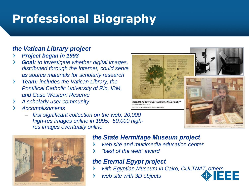### **Professional Biography**

### *the Vatican Library project*

- *Project began in 1993*
- *Goal: to investigate whether digital images, distributed through the Internet, could serve as source materials for scholarly research*
- *Team: includes the Vatican Library, the*   $\blacktriangleright$ *Pontifical Catholic University of Rio, IBM, and Case Western Reserve*
- *A scholarly user community*
- *Accomplishments*
	- *first significant collection on the web; 20,000 high-res images online in 1995; 50,000 highres images eventually online*



#### *the State Hermitage Museum project*

ma. Italy. Fifteenth century

v loc any/exhibits/vatican/images/nature04 in

- *web site and multimedia education center*
- *"best of the web" award*

#### *the Eternal Egypt project*

- *with Egyptian Museum in Cairo, CULTNAT, others*
- *web site with 3D objects*



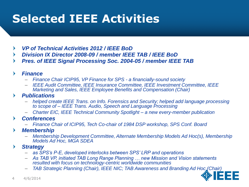# **Selected IEEE Activities**

- *VP of Technical Activities 2012 / IEEE BoD*  $\blacktriangleright$
- $\blacktriangleright$ *Division IX Director 2008-09 / member IEEE TAB / IEEE BoD*
- *Pres. of IEEE Signal Processing Soc. 2004-05 / member IEEE TAB*

#### *Finance*  $\blacktriangleright$

- *Finance Chair ICIP95, VP Finance for SPS - a financially-sound society*
- *IEEE Audit Committee, IEEE Insurance Committee, IEEE Investment Committee, IEEE Marketing and Sales, IEEE Employee Benefits and Compensation (Chair)*

#### *Publications*

- *helped create IEEE Trans. on Info. Forensics and Security; helped add language processing to scope of – IEEE Trans. Audio, Speech and Language Processing*
- *Charter EIC, IEEE Technical Community Spotlight – a new every-member publication*
- *Conferences*  $\blacktriangleright$ 
	- *Finance Chair of ICIP95, Tech Co-chair of 1984 DSP workshop, SPS Conf. Board*
- $\blacktriangleright$ *Membership*
	- *Membership Development Committee, Alternate Membership Models Ad Hoc(s), Membership Models Ad Hoc, MGA SDEA*
- *Strategy*  $\blacktriangleright$ 
	- *as SPS's P-E, developed interlocks between SPS' LRP and operations*
	- *As TAB VP, initiated TAB Long Range Planning … new Mission and Vision statements resulted with focus on technology-centric worldwide communities*
	- *TAB Strategic Planning (Chair), IEEE NIC; TAB Awareness and Branding Ad Hoc (Chair)*

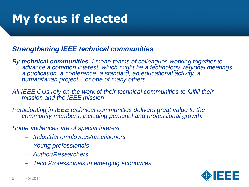# **My focus if elected**

### *Strengthening IEEE technical communities*

*By technical communities, I mean teams of colleagues working together to advance a common interest, which might be a technology, regional meetings, a publication, a conference, a standard, an educational activity, a humanitarian project – or one of many others.*

*All IEEE OUs rely on the work of their technical communities to fulfill their mission and the IEEE mission* 

*Participating in IEEE technical communities delivers great value to the community members, including personal and professional growth.*

*Some audiences are of special interest* 

- *Industrial employees/practitioners*
- *Young professionals*
- *Author/Researchers*
- *Tech Professionals in emerging economies*

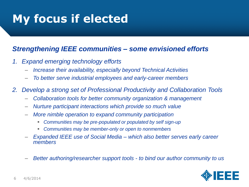# **My focus if elected**

### *Strengthening IEEE communities – some envisioned efforts*

- *1. Expand emerging technology efforts* 
	- *Increase their availability, especially beyond Technical Activities*
	- *To better serve industrial employees and early-career members*
- *2. Develop a strong set of Professional Productivity and Collaboration Tools* 
	- *Collaboration tools for better community organization & management*
	- *Nurture participant interactions which provide so much value*
	- *More nimble operation to expand community participation*
		- *Communities may be pre-populated or populated by self sign-up*
		- *Communities may be member-only or open to nonmembers*
	- *Expanded IEEE use of Social Media – which also better serves early career members*
	- *Better authoring/researcher support tools - to bind our author community to us*

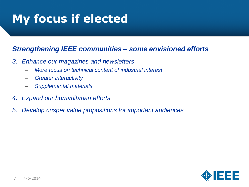# **My focus if elected**

### *Strengthening IEEE communities – some envisioned efforts*

- *3. Enhance our magazines and newsletters*
	- *More focus on technical content of industrial interest*
	- *Greater interactivity*
	- *Supplemental materials*
- *4. Expand our humanitarian efforts*
- *5. Develop crisper value propositions for important audiences*

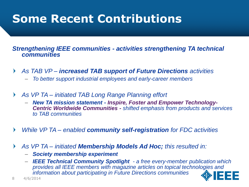### **Some Recent Contributions**

#### *Strengthening IEEE communities - activities strengthening TA technical communities*

- *As TAB VP – increased TAB support of Future Directions activities*  $\blacktriangleright$ 
	- *To better support industrial employees and early-career members*
- *As VP TA – initiated TAB Long Range Planning effort*
	- *New TA mission statement - Inspire, Foster and Empower Technology-Centric Worldwide Communities - shifted emphasis from products and services to TAB communities*
- *While VP TA – enabled community self-registration for FDC activities*  $\blacktriangleright$
- *As VP TA – initiated Membership Models Ad Hoc; this resulted in:*   $\blacktriangleright$ 
	- *Society membership experiment*
	- *IEEE Technical Community Spotlight - a free every-member publication which provides all IEEE members with magazine articles on topical technologies and information about participating in Future Directions communities*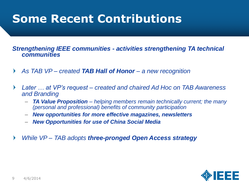### **Some Recent Contributions**

#### *Strengthening IEEE communities - activities strengthening TA technical communities*

- *As TAB VP – created TAB Hall of Honor – a new recognition*  $\blacktriangleright$
- *Later … at VP's request – created and chaired Ad Hoc on TAB Awareness*   $\blacktriangleright$ *and Branding*
	- *TA Value Proposition – helping members remain technically current; the many (personal and professional) benefits of community participation*
	- *New opportunities for more effective magazines, newsletters*
	- *New Opportunities for use of China Social Media*
- $\blacktriangleright$ *While VP – TAB adopts three-pronged Open Access strategy*